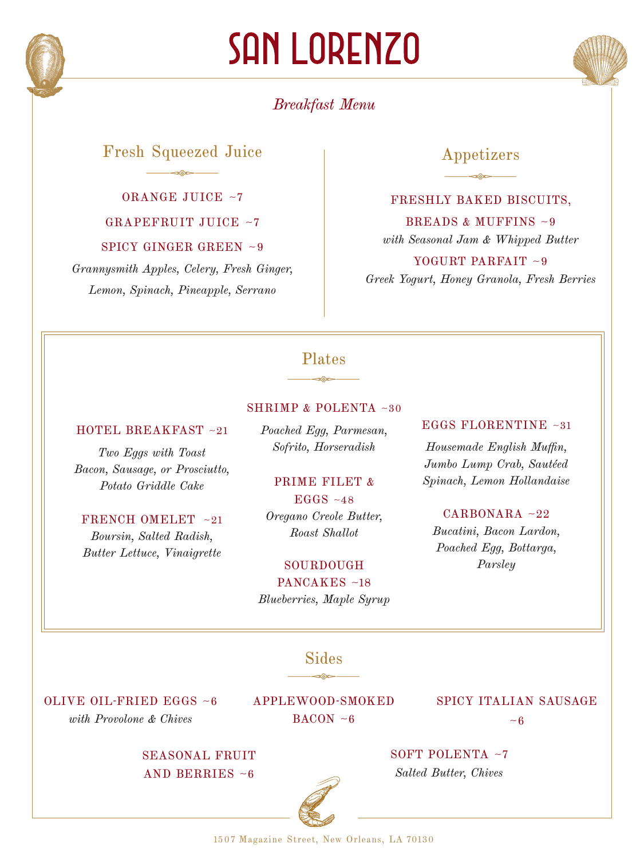

# SAN LORENZO

# *Breakfast Menu*

# Fresh Squeezed Juice  $\frac{1}{\sqrt{2\pi}}\frac{1}{\sqrt{2\pi}}\frac{1}{\sqrt{2\pi}}\frac{1}{\sqrt{2\pi}}\frac{1}{\sqrt{2\pi}}\frac{1}{\sqrt{2\pi}}\frac{1}{\sqrt{2\pi}}\frac{1}{\sqrt{2\pi}}\frac{1}{\sqrt{2\pi}}\frac{1}{\sqrt{2\pi}}\frac{1}{\sqrt{2\pi}}\frac{1}{\sqrt{2\pi}}\frac{1}{\sqrt{2\pi}}\frac{1}{\sqrt{2\pi}}\frac{1}{\sqrt{2\pi}}\frac{1}{\sqrt{2\pi}}\frac{1}{\sqrt{2\pi}}\frac{1}{\sqrt{2\pi}}\frac{1$

ORANGE JUICE ~7 GRAPEFRUIT JUICE ~7

SPICY GINGER GREEN ~9

*Grannysmith Apples, Celery, Fresh Ginger, Lemon, Spinach, Pineapple, Serrano*

# Appetizers  $\frac{1}{\sqrt{2\pi}}\frac{1}{\sqrt{2\pi}}\frac{1}{\sqrt{2\pi}}\frac{1}{\sqrt{2\pi}}\frac{1}{\sqrt{2\pi}}\frac{1}{\sqrt{2\pi}}\frac{1}{\sqrt{2\pi}}\frac{1}{\sqrt{2\pi}}\frac{1}{\sqrt{2\pi}}\frac{1}{\sqrt{2\pi}}\frac{1}{\sqrt{2\pi}}\frac{1}{\sqrt{2\pi}}\frac{1}{\sqrt{2\pi}}\frac{1}{\sqrt{2\pi}}\frac{1}{\sqrt{2\pi}}\frac{1}{\sqrt{2\pi}}\frac{1}{\sqrt{2\pi}}\frac{1}{\sqrt{2\pi}}\frac{1$

#### FRESHLY BAKED BISCUITS,

BREADS & MUFFINS ~9 *with Seasonal Jam & Whipped Butter* YOGURT PARFAIT  $\sim$ 9

*Greek Yogurt, Honey Granola, Fresh Berries* 

### $\frac{1}{\sqrt{2\pi}}\frac{1}{\sqrt{2\pi}}\frac{1}{\sqrt{2\pi}}\frac{1}{\sqrt{2\pi}}\frac{1}{\sqrt{2\pi}}\frac{1}{\sqrt{2\pi}}\frac{1}{\sqrt{2\pi}}\frac{1}{\sqrt{2\pi}}\frac{1}{\sqrt{2\pi}}\frac{1}{\sqrt{2\pi}}\frac{1}{\sqrt{2\pi}}\frac{1}{\sqrt{2\pi}}\frac{1}{\sqrt{2\pi}}\frac{1}{\sqrt{2\pi}}\frac{1}{\sqrt{2\pi}}\frac{1}{\sqrt{2\pi}}\frac{1}{\sqrt{2\pi}}\frac{1}{\sqrt{2\pi}}\frac{1$ Plates

#### SHRIMP & POLENTA ~30

#### HOTEL BREAKFAST ~21

*Two Eggs with Toast Bacon, Sausage, or Prosciutto, Potato Griddle Cake*

#### FRENCH OMELET ~21

*Boursin, Salted Radish, Butter Lettuce, Vinaigrette* *Poached Egg, Parmesan, Sofrito, Horseradish*

# PRIME FILET &

 $EGGS ~-48$ *Oregano Creole Butter, Roast Shallot*

#### SOURDOUGH

PANCAKES ~18 *Blueberries, Maple Syrup*

#### EGGS FLORENTINE ~31

*Housemade English Muffin, Jumbo Lump Crab, Sautéed Spinach, Lemon Hollandaise*

#### CARBONARA ~22

*Bucatini, Bacon Lardon, Poached Egg, Bottarga, Parsley*

 $\frac{1}{\sqrt{2\pi}}\frac{1}{\sqrt{2\pi}}\frac{1}{\sqrt{2\pi}}\frac{1}{\sqrt{2\pi}}\frac{1}{\sqrt{2\pi}}\frac{1}{\sqrt{2\pi}}\frac{1}{\sqrt{2\pi}}\frac{1}{\sqrt{2\pi}}\frac{1}{\sqrt{2\pi}}\frac{1}{\sqrt{2\pi}}\frac{1}{\sqrt{2\pi}}\frac{1}{\sqrt{2\pi}}\frac{1}{\sqrt{2\pi}}\frac{1}{\sqrt{2\pi}}\frac{1}{\sqrt{2\pi}}\frac{1}{\sqrt{2\pi}}\frac{1}{\sqrt{2\pi}}\frac{1}{\sqrt{2\pi}}\frac{1$ Sides

OLIVE OIL-FRIED EGGS ~6 *with Provolone & Chives*

APPLEWOOD-SMOKED  $BACON - 6$ 

#### SPICY ITALIAN SAUSAGE

 $~1$   $~6$ 

SEASONAL FRUIT AND BERRIES ~6

#### SOFT POLENTA ~7 *Salted Butter, Chives*